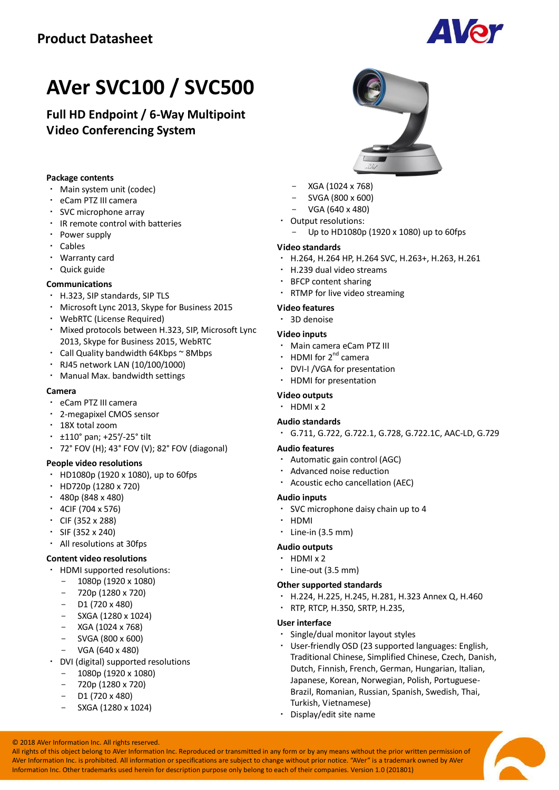

# **AVer SVC100 / SVC500**

**Full HD Endpoint / 6-Way Multipoint Video Conferencing System**

#### **Package contents**

- Main system unit (codec)
- eCam PTZ III camera
- SVC microphone array
- IR remote control with batteries
- Power supply
- Cables
- Warranty card
- Quick guide

#### **Communications**

- H.323, SIP standards, SIP TLS
- Microsoft Lync 2013, Skype for Business 2015
- WebRTC (License Required)
- Mixed protocols between H.323, SIP, Microsoft Lync 2013, Skype for Business 2015, WebRTC
- Call Quality bandwidth 64Kbps ~ 8Mbps
- RJ45 network LAN (10/100/1000)
- Manual Max. bandwidth settings

#### **Camera**

- eCam PTZ III camera
- 2-megapixel CMOS sensor
- 18X total zoom
- ±110° pan; +25°/-25°tilt
- 72°FOV (H); 43°FOV (V); 82°FOV (diagonal)

#### **People video resolutions**

- HD1080p (1920 x 1080), up to 60fps
- HD720p (1280 x 720)
- $+ 480p (848 \times 480)$
- 4CIF (704 x 576)
- CIF (352 x 288)
- SIF (352 x 240)
- All resolutions at 30fps

### **Content video resolutions**

- HDMI supported resolutions:
- 1080p (1920 x 1080)
- 720p (1280 x 720)
- D1 (720 x 480)
- SXGA (1280 x 1024)
- XGA (1024 x 768)
- SVGA (800 x 600)
- VGA (640 x 480)
- DVI (digital) supported resolutions
	- 1080p (1920 x 1080)
	- 720p (1280 x 720)
	- D1 (720 x 480)
	- SXGA (1280 x 1024)
- 
- XGA (1024 x 768)
- SVGA (800 x 600)
- VGA (640 x 480)
- Output resolutions:
- Up to HD1080p (1920 x 1080) up to 60fps

#### **Video standards**

- H.264, H.264 HP, H.264 SVC, H.263+, H.263, H.261
- H.239 dual video streams
- BFCP content sharing
- RTMP for live video streaming

#### **Video features**

3D denoise

#### **Video inputs**

- Main camera eCam PTZ III
- HDMI for 2<sup>nd</sup> camera
- DVI-I /VGA for presentation
- HDMI for presentation

#### **Video outputs**

 $·$  HDMI  $\times$  2

#### **Audio standards**

G.711, G.722, G.722.1, G.728, G.722.1C, AAC-LD, G.729

#### **Audio features**

- Automatic gain control (AGC)
- Advanced noise reduction
- Acoustic echo cancellation (AEC)

#### **Audio inputs**

- SVC microphone daisy chain up to 4
- HDMI
- $\cdot$  Line-in (3.5 mm)

### **Audio outputs**

- HDMI x 2
- Line-out (3.5 mm)

#### **Other supported standards**

- H.224, H.225, H.245, H.281, H.323 Annex Q, H.460
- RTP, RTCP, H.350, SRTP, H.235,

### **User interface**

- Single/dual monitor layout styles
- User-friendly OSD (23 supported languages: English, Traditional Chinese, Simplified Chinese, Czech, Danish, Dutch, Finnish, French, German, Hungarian, Italian, Japanese, Korean, Norwegian, Polish, Portuguese-Brazil, Romanian, Russian, Spanish, Swedish, Thai, Turkish, Vietnamese)
- Display/edit site name